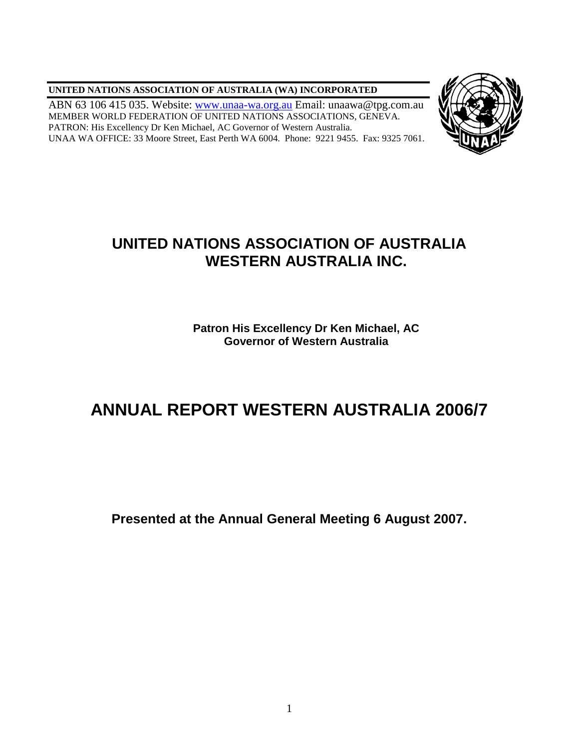**UNITED NATIONS ASSOCIATION OF AUSTRALIA (WA) INCORPORATED**

ABN 63 106 415 035. Website: [www.unaa-wa.org.au](http://www.unaa-wa.org.au/) Email: unaawa@tpg.com.au MEMBER WORLD FEDERATION OF UNITED NATIONS ASSOCIATIONS, GENEVA. PATRON: His Excellency Dr Ken Michael, AC Governor of Western Australia. UNAA WA OFFICE: 33 Moore Street, East Perth WA 6004. Phone: 9221 9455. Fax: 9325 7061.



# **UNITED NATIONS ASSOCIATION OF AUSTRALIA WESTERN AUSTRALIA INC.**

**Patron His Excellency Dr Ken Michael, AC Governor of Western Australia**

# **ANNUAL REPORT WESTERN AUSTRALIA 2006/7**

**Presented at the Annual General Meeting 6 August 2007.**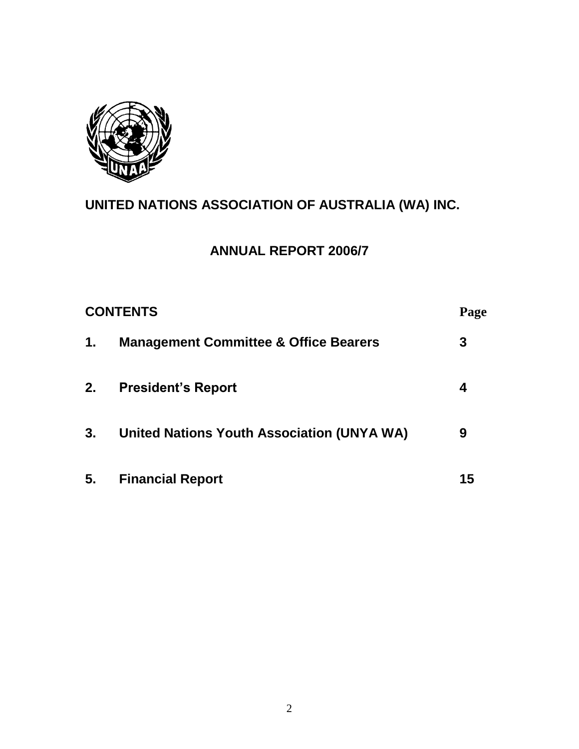

# **UNITED NATIONS ASSOCIATION OF AUSTRALIA (WA) INC.**

# **ANNUAL REPORT 2006/7**

| <b>CONTENTS</b> |                                                  | Page |
|-----------------|--------------------------------------------------|------|
| $\mathbf{1}$ .  | <b>Management Committee &amp; Office Bearers</b> | 3    |
| 2.              | <b>President's Report</b>                        | 4    |
| 3.              | United Nations Youth Association (UNYA WA)       | 9    |
| 5.              | <b>Financial Report</b>                          | 15   |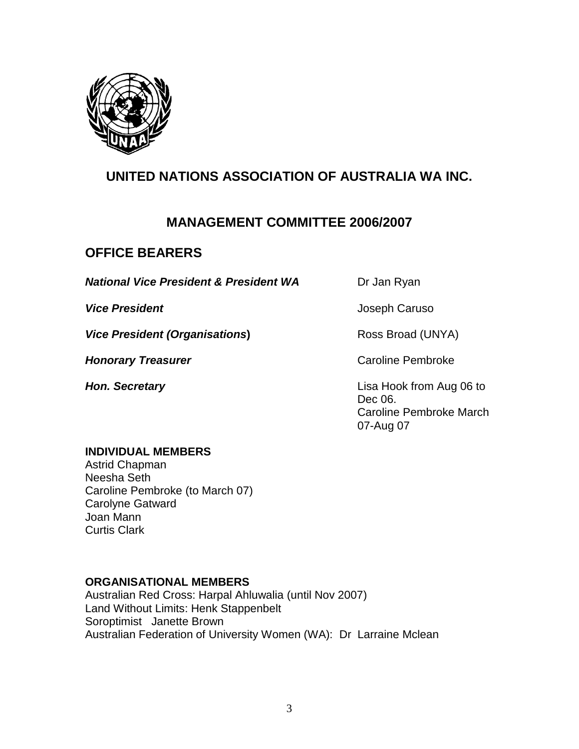

# **UNITED NATIONS ASSOCIATION OF AUSTRALIA WA INC.**

### **MANAGEMENT COMMITTEE 2006/2007**

## **OFFICE BEARERS**

**National Vice President & President WA** Dr Jan Ryan

**Vice President (Organisations)** Ross Broad (UNYA)

**Honorary Treasurer Caroline Pembroke Caroline Pembroke** 

**Vice President Vice President Joseph Caruso** 

**Hon. Secretary Lisa Hook from Aug 06 to** Dec 06. Caroline Pembroke March 07-Aug 07

#### **INDIVIDUAL MEMBERS**

Astrid Chapman Neesha Seth Caroline Pembroke (to March 07) Carolyne Gatward Joan Mann Curtis Clark

#### **ORGANISATIONAL MEMBERS**

Australian Red Cross: Harpal Ahluwalia (until Nov 2007) Land Without Limits: Henk Stappenbelt Soroptimist Janette Brown Australian Federation of University Women (WA): Dr Larraine Mclean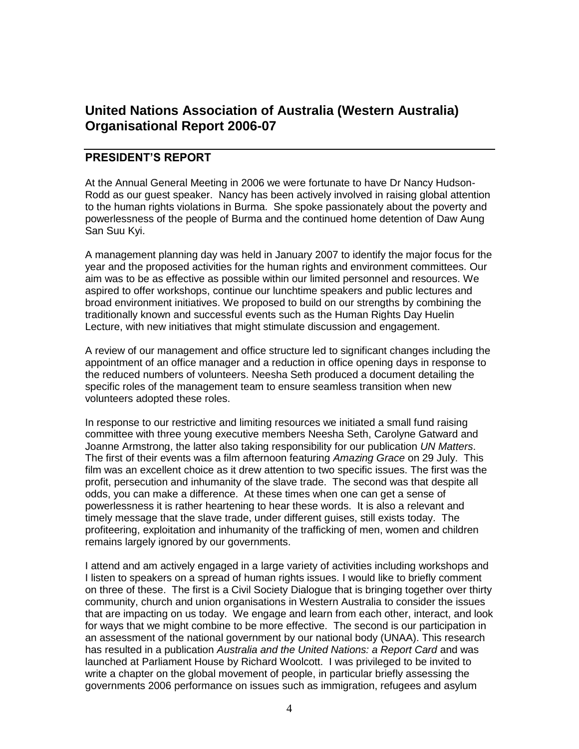## **United Nations Association of Australia (Western Australia) Organisational Report 2006-07**

### **PRESIDENT'S REPORT**

At the Annual General Meeting in 2006 we were fortunate to have Dr Nancy Hudson-Rodd as our guest speaker. Nancy has been actively involved in raising global attention to the human rights violations in Burma. She spoke passionately about the poverty and powerlessness of the people of Burma and the continued home detention of Daw Aung San Suu Kyi.

A management planning day was held in January 2007 to identify the major focus for the year and the proposed activities for the human rights and environment committees. Our aim was to be as effective as possible within our limited personnel and resources. We aspired to offer workshops, continue our lunchtime speakers and public lectures and broad environment initiatives. We proposed to build on our strengths by combining the traditionally known and successful events such as the Human Rights Day Huelin Lecture, with new initiatives that might stimulate discussion and engagement.

A review of our management and office structure led to significant changes including the appointment of an office manager and a reduction in office opening days in response to the reduced numbers of volunteers. Neesha Seth produced a document detailing the specific roles of the management team to ensure seamless transition when new volunteers adopted these roles.

In response to our restrictive and limiting resources we initiated a small fund raising committee with three young executive members Neesha Seth, Carolyne Gatward and Joanne Armstrong, the latter also taking responsibility for our publication *UN Matters*. The first of their events was a film afternoon featuring *Amazing Grace* on 29 July. This film was an excellent choice as it drew attention to two specific issues. The first was the profit, persecution and inhumanity of the slave trade. The second was that despite all odds, you can make a difference. At these times when one can get a sense of powerlessness it is rather heartening to hear these words. It is also a relevant and timely message that the slave trade, under different guises, still exists today. The profiteering, exploitation and inhumanity of the trafficking of men, women and children remains largely ignored by our governments.

I attend and am actively engaged in a large variety of activities including workshops and I listen to speakers on a spread of human rights issues. I would like to briefly comment on three of these. The first is a Civil Society Dialogue that is bringing together over thirty community, church and union organisations in Western Australia to consider the issues that are impacting on us today. We engage and learn from each other, interact, and look for ways that we might combine to be more effective. The second is our participation in an assessment of the national government by our national body (UNAA). This research has resulted in a publication *Australia and the United Nations: a Report Card* and was launched at Parliament House by Richard Woolcott. I was privileged to be invited to write a chapter on the global movement of people, in particular briefly assessing the governments 2006 performance on issues such as immigration, refugees and asylum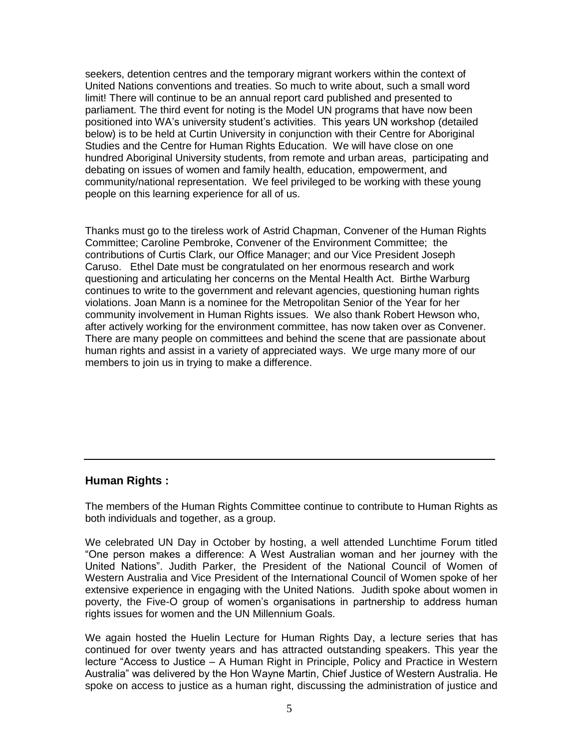seekers, detention centres and the temporary migrant workers within the context of United Nations conventions and treaties. So much to write about, such a small word limit! There will continue to be an annual report card published and presented to parliament. The third event for noting is the Model UN programs that have now been positioned into WA"s university student"s activities. This years UN workshop (detailed below) is to be held at Curtin University in conjunction with their Centre for Aboriginal Studies and the Centre for Human Rights Education. We will have close on one hundred Aboriginal University students, from remote and urban areas, participating and debating on issues of women and family health, education, empowerment, and community/national representation. We feel privileged to be working with these young people on this learning experience for all of us.

Thanks must go to the tireless work of Astrid Chapman, Convener of the Human Rights Committee; Caroline Pembroke, Convener of the Environment Committee; the contributions of Curtis Clark, our Office Manager; and our Vice President Joseph Caruso. Ethel Date must be congratulated on her enormous research and work questioning and articulating her concerns on the Mental Health Act. Birthe Warburg continues to write to the government and relevant agencies, questioning human rights violations. Joan Mann is a nominee for the Metropolitan Senior of the Year for her community involvement in Human Rights issues. We also thank Robert Hewson who, after actively working for the environment committee, has now taken over as Convener. There are many people on committees and behind the scene that are passionate about human rights and assist in a variety of appreciated ways. We urge many more of our members to join us in trying to make a difference.

#### **Human Rights :**

The members of the Human Rights Committee continue to contribute to Human Rights as both individuals and together, as a group.

We celebrated UN Day in October by hosting, a well attended Lunchtime Forum titled "One person makes a difference: A West Australian woman and her journey with the United Nations". Judith Parker, the President of the National Council of Women of Western Australia and Vice President of the International Council of Women spoke of her extensive experience in engaging with the United Nations. Judith spoke about women in poverty, the Five-O group of women"s organisations in partnership to address human rights issues for women and the UN Millennium Goals.

We again hosted the Huelin Lecture for Human Rights Day, a lecture series that has continued for over twenty years and has attracted outstanding speakers. This year the lecture "Access to Justice – A Human Right in Principle, Policy and Practice in Western Australia" was delivered by the Hon Wayne Martin, Chief Justice of Western Australia. He spoke on access to justice as a human right, discussing the administration of justice and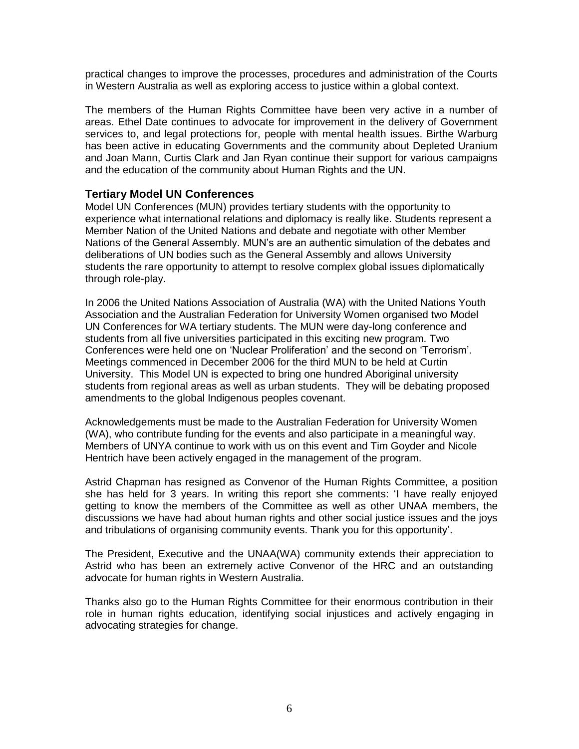practical changes to improve the processes, procedures and administration of the Courts in Western Australia as well as exploring access to justice within a global context.

The members of the Human Rights Committee have been very active in a number of areas. Ethel Date continues to advocate for improvement in the delivery of Government services to, and legal protections for, people with mental health issues. Birthe Warburg has been active in educating Governments and the community about Depleted Uranium and Joan Mann, Curtis Clark and Jan Ryan continue their support for various campaigns and the education of the community about Human Rights and the UN.

#### **Tertiary Model UN Conferences**

Model UN Conferences (MUN) provides tertiary students with the opportunity to experience what international relations and diplomacy is really like. Students represent a Member Nation of the United Nations and debate and negotiate with other Member Nations of the General Assembly. MUN"s are an authentic simulation of the debates and deliberations of UN bodies such as the General Assembly and allows University students the rare opportunity to attempt to resolve complex global issues diplomatically through role-play.

In 2006 the United Nations Association of Australia (WA) with the United Nations Youth Association and the Australian Federation for University Women organised two Model UN Conferences for WA tertiary students. The MUN were day-long conference and students from all five universities participated in this exciting new program. Two Conferences were held one on "Nuclear Proliferation" and the second on "Terrorism". Meetings commenced in December 2006 for the third MUN to be held at Curtin University. This Model UN is expected to bring one hundred Aboriginal university students from regional areas as well as urban students. They will be debating proposed amendments to the global Indigenous peoples covenant.

Acknowledgements must be made to the Australian Federation for University Women (WA), who contribute funding for the events and also participate in a meaningful way. Members of UNYA continue to work with us on this event and Tim Goyder and Nicole Hentrich have been actively engaged in the management of the program.

Astrid Chapman has resigned as Convenor of the Human Rights Committee, a position she has held for 3 years. In writing this report she comments: "I have really enjoyed getting to know the members of the Committee as well as other UNAA members, the discussions we have had about human rights and other social justice issues and the joys and tribulations of organising community events. Thank you for this opportunity".

The President, Executive and the UNAA(WA) community extends their appreciation to Astrid who has been an extremely active Convenor of the HRC and an outstanding advocate for human rights in Western Australia.

Thanks also go to the Human Rights Committee for their enormous contribution in their role in human rights education, identifying social injustices and actively engaging in advocating strategies for change.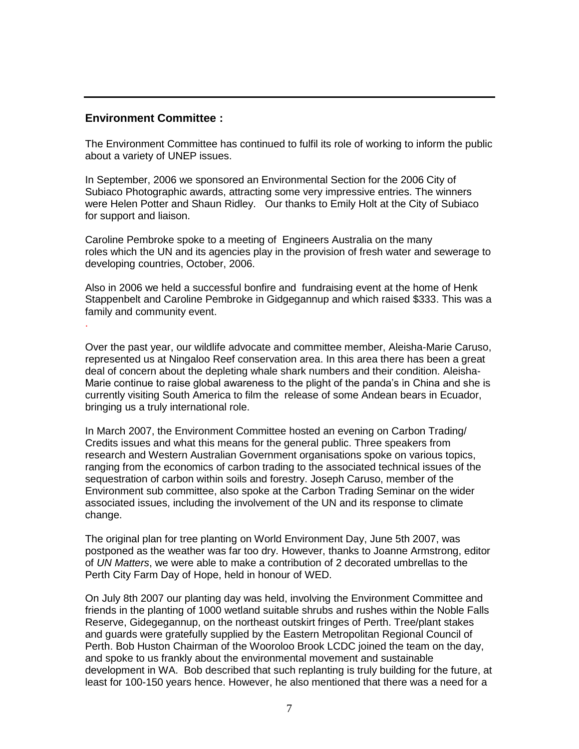#### **Environment Committee :**

.

The Environment Committee has continued to fulfil its role of working to inform the public about a variety of UNEP issues.

In September, 2006 we sponsored an Environmental Section for the 2006 City of Subiaco Photographic awards, attracting some very impressive entries. The winners were Helen Potter and Shaun Ridley. Our thanks to Emily Holt at the City of Subiaco for support and liaison.

Caroline Pembroke spoke to a meeting of Engineers Australia on the many roles which the UN and its agencies play in the provision of fresh water and sewerage to developing countries, October, 2006.

Also in 2006 we held a successful bonfire and fundraising event at the home of Henk Stappenbelt and Caroline Pembroke in Gidgegannup and which raised \$333. This was a family and community event.

Over the past year, our wildlife advocate and committee member, Aleisha-Marie Caruso, represented us at Ningaloo Reef conservation area. In this area there has been a great deal of concern about the depleting whale shark numbers and their condition. Aleisha-Marie continue to raise global awareness to the plight of the panda"s in China and she is currently visiting South America to film the release of some Andean bears in Ecuador, bringing us a truly international role.

In March 2007, the Environment Committee hosted an evening on Carbon Trading/ Credits issues and what this means for the general public. Three speakers from research and Western Australian Government organisations spoke on various topics, ranging from the economics of carbon trading to the associated technical issues of the sequestration of carbon within soils and forestry. Joseph Caruso, member of the Environment sub committee, also spoke at the Carbon Trading Seminar on the wider associated issues, including the involvement of the UN and its response to climate change.

The original plan for tree planting on World Environment Day, June 5th 2007, was postponed as the weather was far too dry. However, thanks to Joanne Armstrong, editor of *UN Matters*, we were able to make a contribution of 2 decorated umbrellas to the Perth City Farm Day of Hope, held in honour of WED.

On July 8th 2007 our planting day was held, involving the Environment Committee and friends in the planting of 1000 wetland suitable shrubs and rushes within the Noble Falls Reserve, Gidegegannup, on the northeast outskirt fringes of Perth. Tree/plant stakes and guards were gratefully supplied by the Eastern Metropolitan Regional Council of Perth. Bob Huston Chairman of the Wooroloo Brook LCDC joined the team on the day, and spoke to us frankly about the environmental movement and sustainable development in WA. Bob described that such replanting is truly building for the future, at least for 100-150 years hence. However, he also mentioned that there was a need for a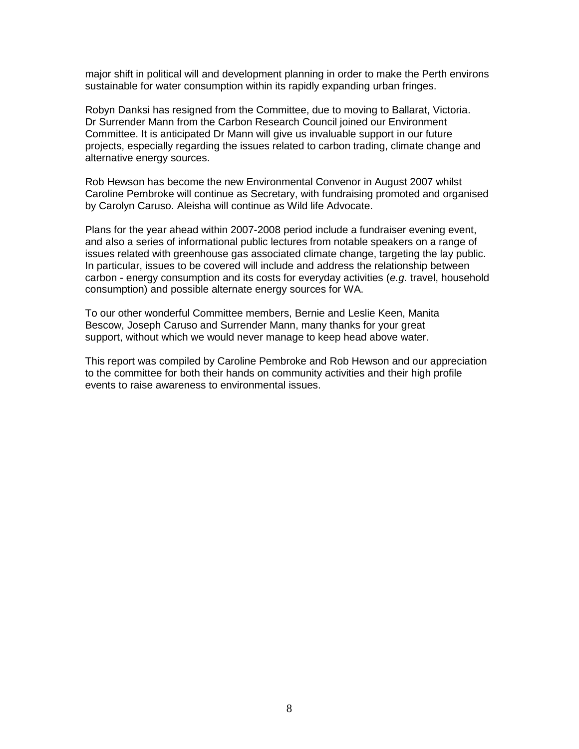major shift in political will and development planning in order to make the Perth environs sustainable for water consumption within its rapidly expanding urban fringes.

Robyn Danksi has resigned from the Committee, due to moving to Ballarat, Victoria. Dr Surrender Mann from the Carbon Research Council joined our Environment Committee. It is anticipated Dr Mann will give us invaluable support in our future projects, especially regarding the issues related to carbon trading, climate change and alternative energy sources.

Rob Hewson has become the new Environmental Convenor in August 2007 whilst Caroline Pembroke will continue as Secretary, with fundraising promoted and organised by Carolyn Caruso. Aleisha will continue as Wild life Advocate.

Plans for the year ahead within 2007-2008 period include a fundraiser evening event, and also a series of informational public lectures from notable speakers on a range of issues related with greenhouse gas associated climate change, targeting the lay public. In particular, issues to be covered will include and address the relationship between carbon - energy consumption and its costs for everyday activities (*e.g.* travel, household consumption) and possible alternate energy sources for WA.

To our other wonderful Committee members, Bernie and Leslie Keen, Manita Bescow, Joseph Caruso and Surrender Mann, many thanks for your great support, without which we would never manage to keep head above water.

This report was compiled by Caroline Pembroke and Rob Hewson and our appreciation to the committee for both their hands on community activities and their high profile events to raise awareness to environmental issues.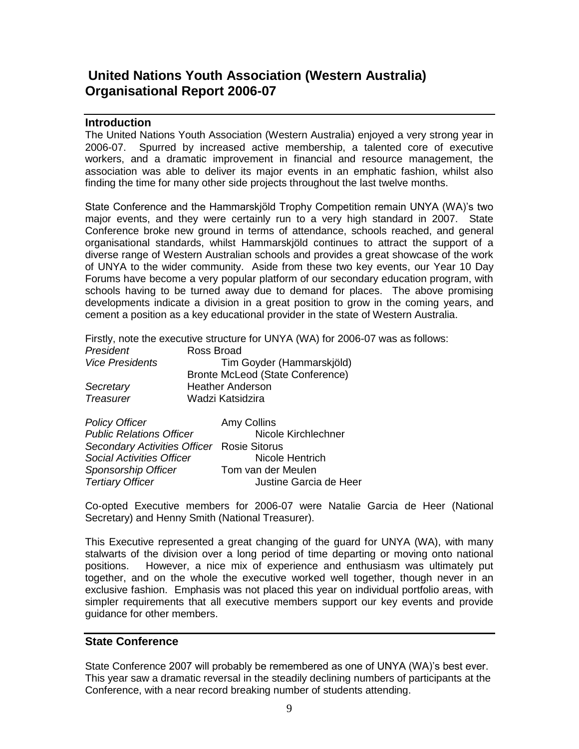## **United Nations Youth Association (Western Australia) Organisational Report 2006-07**

#### **Introduction**

The United Nations Youth Association (Western Australia) enjoyed a very strong year in 2006-07. Spurred by increased active membership, a talented core of executive workers, and a dramatic improvement in financial and resource management, the association was able to deliver its major events in an emphatic fashion, whilst also finding the time for many other side projects throughout the last twelve months.

State Conference and the Hammarskjöld Trophy Competition remain UNYA (WA)"s two major events, and they were certainly run to a very high standard in 2007. State Conference broke new ground in terms of attendance, schools reached, and general organisational standards, whilst Hammarskjöld continues to attract the support of a diverse range of Western Australian schools and provides a great showcase of the work of UNYA to the wider community. Aside from these two key events, our Year 10 Day Forums have become a very popular platform of our secondary education program, with schools having to be turned away due to demand for places. The above promising developments indicate a division in a great position to grow in the coming years, and cement a position as a key educational provider in the state of Western Australia.

Firstly, note the executive structure for UNYA (WA) for 2006-07 was as follows:

| President              | Ross Broad                       |
|------------------------|----------------------------------|
| <b>Vice Presidents</b> | Tim Goyder (Hammarskjöld)        |
|                        | Bronte McLeod (State Conference) |
| Secretary              | <b>Heather Anderson</b>          |
| <b>Treasurer</b>       | Wadzi Katsidzira                 |
|                        |                                  |

| <b>Policy Officer</b>                      | Amy Collins            |
|--------------------------------------------|------------------------|
| <b>Public Relations Officer</b>            | Nicole Kirchlechner    |
| Secondary Activities Officer Rosie Sitorus |                        |
| <b>Social Activities Officer</b>           | Nicole Hentrich        |
| Sponsorship Officer                        | Tom van der Meulen     |
| <b>Tertiary Officer</b>                    | Justine Garcia de Heer |

Co-opted Executive members for 2006-07 were Natalie Garcia de Heer (National Secretary) and Henny Smith (National Treasurer).

This Executive represented a great changing of the guard for UNYA (WA), with many stalwarts of the division over a long period of time departing or moving onto national positions. However, a nice mix of experience and enthusiasm was ultimately put together, and on the whole the executive worked well together, though never in an exclusive fashion. Emphasis was not placed this year on individual portfolio areas, with simpler requirements that all executive members support our key events and provide guidance for other members.

#### **State Conference**

State Conference 2007 will probably be remembered as one of UNYA (WA)"s best ever. This year saw a dramatic reversal in the steadily declining numbers of participants at the Conference, with a near record breaking number of students attending.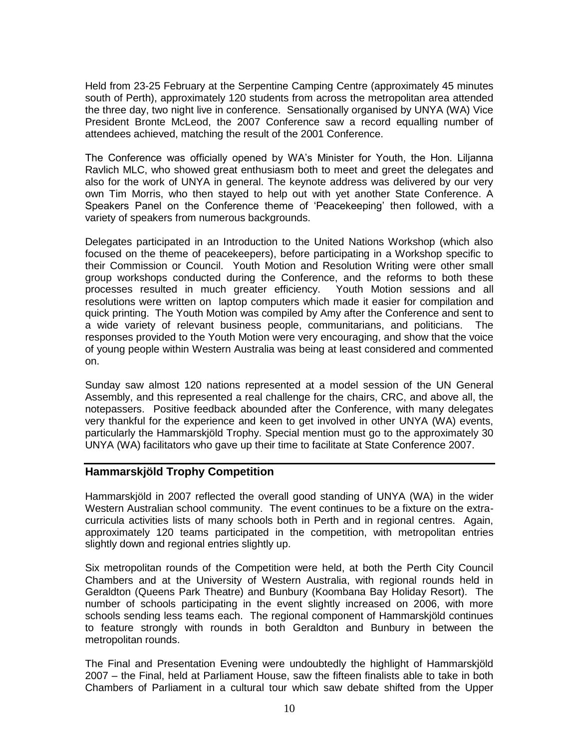Held from 23-25 February at the Serpentine Camping Centre (approximately 45 minutes south of Perth), approximately 120 students from across the metropolitan area attended the three day, two night live in conference. Sensationally organised by UNYA (WA) Vice President Bronte McLeod, the 2007 Conference saw a record equalling number of attendees achieved, matching the result of the 2001 Conference.

The Conference was officially opened by WA"s Minister for Youth, the Hon. Liljanna Ravlich MLC, who showed great enthusiasm both to meet and greet the delegates and also for the work of UNYA in general. The keynote address was delivered by our very own Tim Morris, who then stayed to help out with yet another State Conference. A Speakers Panel on the Conference theme of "Peacekeeping" then followed, with a variety of speakers from numerous backgrounds.

Delegates participated in an Introduction to the United Nations Workshop (which also focused on the theme of peacekeepers), before participating in a Workshop specific to their Commission or Council. Youth Motion and Resolution Writing were other small group workshops conducted during the Conference, and the reforms to both these processes resulted in much greater efficiency. Youth Motion sessions and all resolutions were written on laptop computers which made it easier for compilation and quick printing. The Youth Motion was compiled by Amy after the Conference and sent to a wide variety of relevant business people, communitarians, and politicians. The responses provided to the Youth Motion were very encouraging, and show that the voice of young people within Western Australia was being at least considered and commented on.

Sunday saw almost 120 nations represented at a model session of the UN General Assembly, and this represented a real challenge for the chairs, CRC, and above all, the notepassers. Positive feedback abounded after the Conference, with many delegates very thankful for the experience and keen to get involved in other UNYA (WA) events, particularly the Hammarskjöld Trophy. Special mention must go to the approximately 30 UNYA (WA) facilitators who gave up their time to facilitate at State Conference 2007.

#### **Hammarskjöld Trophy Competition**

Hammarskjöld in 2007 reflected the overall good standing of UNYA (WA) in the wider Western Australian school community. The event continues to be a fixture on the extracurricula activities lists of many schools both in Perth and in regional centres. Again, approximately 120 teams participated in the competition, with metropolitan entries slightly down and regional entries slightly up.

Six metropolitan rounds of the Competition were held, at both the Perth City Council Chambers and at the University of Western Australia, with regional rounds held in Geraldton (Queens Park Theatre) and Bunbury (Koombana Bay Holiday Resort). The number of schools participating in the event slightly increased on 2006, with more schools sending less teams each. The regional component of Hammarskjöld continues to feature strongly with rounds in both Geraldton and Bunbury in between the metropolitan rounds.

The Final and Presentation Evening were undoubtedly the highlight of Hammarskjöld 2007 – the Final, held at Parliament House, saw the fifteen finalists able to take in both Chambers of Parliament in a cultural tour which saw debate shifted from the Upper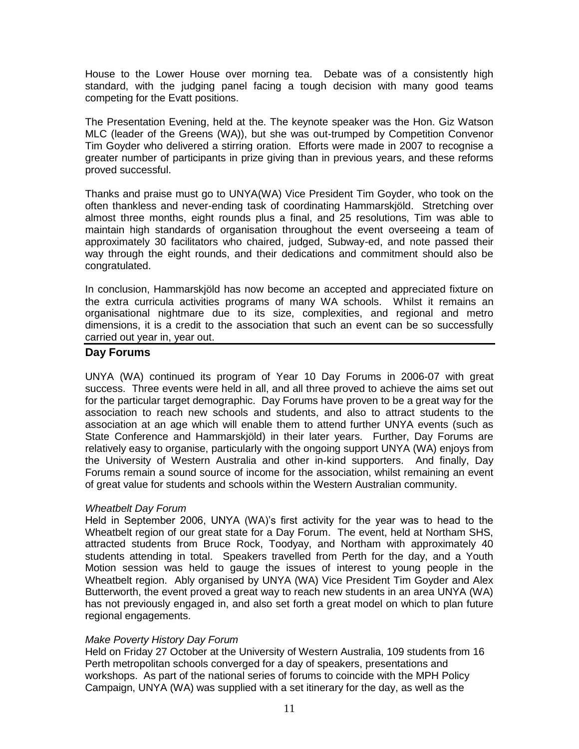House to the Lower House over morning tea. Debate was of a consistently high standard, with the judging panel facing a tough decision with many good teams competing for the Evatt positions.

The Presentation Evening, held at the. The keynote speaker was the Hon. Giz Watson MLC (leader of the Greens (WA)), but she was out-trumped by Competition Convenor Tim Goyder who delivered a stirring oration. Efforts were made in 2007 to recognise a greater number of participants in prize giving than in previous years, and these reforms proved successful.

Thanks and praise must go to UNYA(WA) Vice President Tim Goyder, who took on the often thankless and never-ending task of coordinating Hammarskjöld. Stretching over almost three months, eight rounds plus a final, and 25 resolutions, Tim was able to maintain high standards of organisation throughout the event overseeing a team of approximately 30 facilitators who chaired, judged, Subway-ed, and note passed their way through the eight rounds, and their dedications and commitment should also be congratulated.

In conclusion, Hammarskjöld has now become an accepted and appreciated fixture on the extra curricula activities programs of many WA schools. Whilst it remains an organisational nightmare due to its size, complexities, and regional and metro dimensions, it is a credit to the association that such an event can be so successfully carried out year in, year out.

#### **Day Forums**

UNYA (WA) continued its program of Year 10 Day Forums in 2006-07 with great success. Three events were held in all, and all three proved to achieve the aims set out for the particular target demographic. Day Forums have proven to be a great way for the association to reach new schools and students, and also to attract students to the association at an age which will enable them to attend further UNYA events (such as State Conference and Hammarskjöld) in their later years. Further, Day Forums are relatively easy to organise, particularly with the ongoing support UNYA (WA) enjoys from the University of Western Australia and other in-kind supporters. And finally, Day Forums remain a sound source of income for the association, whilst remaining an event of great value for students and schools within the Western Australian community.

#### *Wheatbelt Day Forum*

Held in September 2006, UNYA (WA)'s first activity for the year was to head to the Wheatbelt region of our great state for a Day Forum. The event, held at Northam SHS, attracted students from Bruce Rock, Toodyay, and Northam with approximately 40 students attending in total. Speakers travelled from Perth for the day, and a Youth Motion session was held to gauge the issues of interest to young people in the Wheatbelt region. Ably organised by UNYA (WA) Vice President Tim Goyder and Alex Butterworth, the event proved a great way to reach new students in an area UNYA (WA) has not previously engaged in, and also set forth a great model on which to plan future regional engagements.

#### *Make Poverty History Day Forum*

Held on Friday 27 October at the University of Western Australia, 109 students from 16 Perth metropolitan schools converged for a day of speakers, presentations and workshops. As part of the national series of forums to coincide with the MPH Policy Campaign, UNYA (WA) was supplied with a set itinerary for the day, as well as the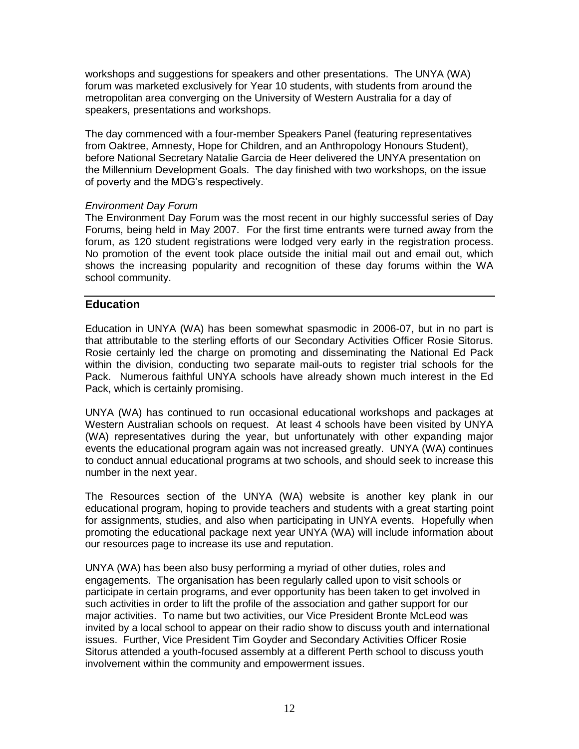workshops and suggestions for speakers and other presentations. The UNYA (WA) forum was marketed exclusively for Year 10 students, with students from around the metropolitan area converging on the University of Western Australia for a day of speakers, presentations and workshops.

The day commenced with a four-member Speakers Panel (featuring representatives from Oaktree, Amnesty, Hope for Children, and an Anthropology Honours Student), before National Secretary Natalie Garcia de Heer delivered the UNYA presentation on the Millennium Development Goals. The day finished with two workshops, on the issue of poverty and the MDG"s respectively.

#### *Environment Day Forum*

The Environment Day Forum was the most recent in our highly successful series of Day Forums, being held in May 2007. For the first time entrants were turned away from the forum, as 120 student registrations were lodged very early in the registration process. No promotion of the event took place outside the initial mail out and email out, which shows the increasing popularity and recognition of these day forums within the WA school community.

#### **Education**

Education in UNYA (WA) has been somewhat spasmodic in 2006-07, but in no part is that attributable to the sterling efforts of our Secondary Activities Officer Rosie Sitorus. Rosie certainly led the charge on promoting and disseminating the National Ed Pack within the division, conducting two separate mail-outs to register trial schools for the Pack. Numerous faithful UNYA schools have already shown much interest in the Ed Pack, which is certainly promising.

UNYA (WA) has continued to run occasional educational workshops and packages at Western Australian schools on request. At least 4 schools have been visited by UNYA (WA) representatives during the year, but unfortunately with other expanding major events the educational program again was not increased greatly. UNYA (WA) continues to conduct annual educational programs at two schools, and should seek to increase this number in the next year.

The Resources section of the UNYA (WA) website is another key plank in our educational program, hoping to provide teachers and students with a great starting point for assignments, studies, and also when participating in UNYA events. Hopefully when promoting the educational package next year UNYA (WA) will include information about our resources page to increase its use and reputation.

UNYA (WA) has been also busy performing a myriad of other duties, roles and engagements. The organisation has been regularly called upon to visit schools or participate in certain programs, and ever opportunity has been taken to get involved in such activities in order to lift the profile of the association and gather support for our major activities. To name but two activities, our Vice President Bronte McLeod was invited by a local school to appear on their radio show to discuss youth and international issues. Further, Vice President Tim Goyder and Secondary Activities Officer Rosie Sitorus attended a youth-focused assembly at a different Perth school to discuss youth involvement within the community and empowerment issues.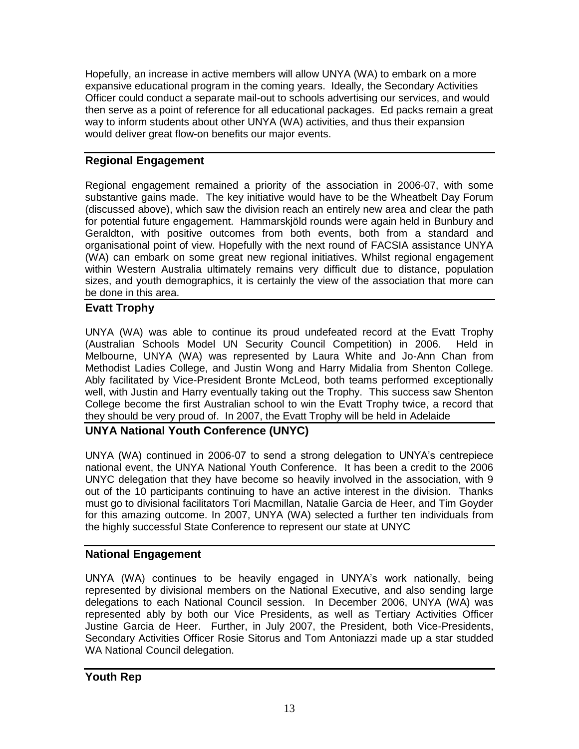Hopefully, an increase in active members will allow UNYA (WA) to embark on a more expansive educational program in the coming years. Ideally, the Secondary Activities Officer could conduct a separate mail-out to schools advertising our services, and would then serve as a point of reference for all educational packages. Ed packs remain a great way to inform students about other UNYA (WA) activities, and thus their expansion would deliver great flow-on benefits our major events.

### **Regional Engagement**

Regional engagement remained a priority of the association in 2006-07, with some substantive gains made. The key initiative would have to be the Wheatbelt Day Forum (discussed above), which saw the division reach an entirely new area and clear the path for potential future engagement. Hammarskjöld rounds were again held in Bunbury and Geraldton, with positive outcomes from both events, both from a standard and organisational point of view. Hopefully with the next round of FACSIA assistance UNYA (WA) can embark on some great new regional initiatives. Whilst regional engagement within Western Australia ultimately remains very difficult due to distance, population sizes, and youth demographics, it is certainly the view of the association that more can be done in this area.

### **Evatt Trophy**

UNYA (WA) was able to continue its proud undefeated record at the Evatt Trophy (Australian Schools Model UN Security Council Competition) in 2006. Held in Melbourne, UNYA (WA) was represented by Laura White and Jo-Ann Chan from Methodist Ladies College, and Justin Wong and Harry Midalia from Shenton College. Ably facilitated by Vice-President Bronte McLeod, both teams performed exceptionally well, with Justin and Harry eventually taking out the Trophy. This success saw Shenton College become the first Australian school to win the Evatt Trophy twice, a record that they should be very proud of. In 2007, the Evatt Trophy will be held in Adelaide

### **UNYA National Youth Conference (UNYC)**

UNYA (WA) continued in 2006-07 to send a strong delegation to UNYA"s centrepiece national event, the UNYA National Youth Conference. It has been a credit to the 2006 UNYC delegation that they have become so heavily involved in the association, with 9 out of the 10 participants continuing to have an active interest in the division. Thanks must go to divisional facilitators Tori Macmillan, Natalie Garcia de Heer, and Tim Goyder for this amazing outcome. In 2007, UNYA (WA) selected a further ten individuals from the highly successful State Conference to represent our state at UNYC

### **National Engagement**

UNYA (WA) continues to be heavily engaged in UNYA"s work nationally, being represented by divisional members on the National Executive, and also sending large delegations to each National Council session. In December 2006, UNYA (WA) was represented ably by both our Vice Presidents, as well as Tertiary Activities Officer Justine Garcia de Heer. Further, in July 2007, the President, both Vice-Presidents, Secondary Activities Officer Rosie Sitorus and Tom Antoniazzi made up a star studded WA National Council delegation.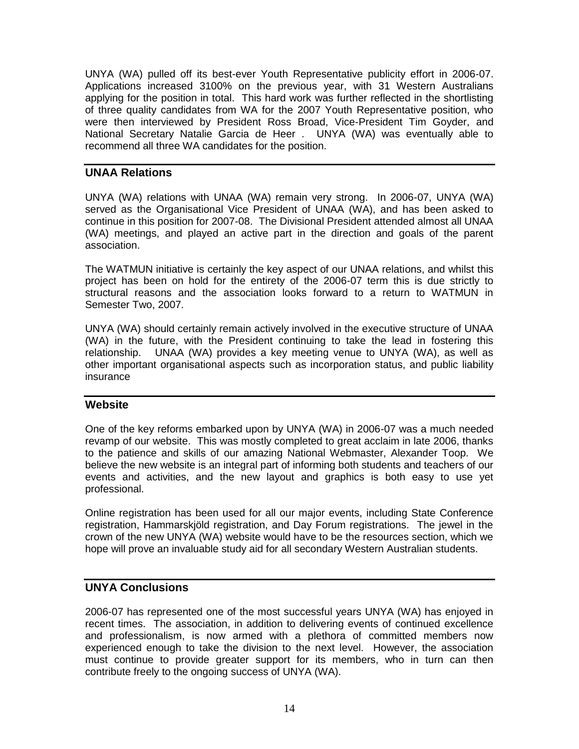UNYA (WA) pulled off its best-ever Youth Representative publicity effort in 2006-07. Applications increased 3100% on the previous year, with 31 Western Australians applying for the position in total. This hard work was further reflected in the shortlisting of three quality candidates from WA for the 2007 Youth Representative position, who were then interviewed by President Ross Broad, Vice-President Tim Goyder, and National Secretary Natalie Garcia de Heer . UNYA (WA) was eventually able to recommend all three WA candidates for the position.

#### **UNAA Relations**

UNYA (WA) relations with UNAA (WA) remain very strong. In 2006-07, UNYA (WA) served as the Organisational Vice President of UNAA (WA), and has been asked to continue in this position for 2007-08. The Divisional President attended almost all UNAA (WA) meetings, and played an active part in the direction and goals of the parent association.

The WATMUN initiative is certainly the key aspect of our UNAA relations, and whilst this project has been on hold for the entirety of the 2006-07 term this is due strictly to structural reasons and the association looks forward to a return to WATMUN in Semester Two, 2007.

UNYA (WA) should certainly remain actively involved in the executive structure of UNAA (WA) in the future, with the President continuing to take the lead in fostering this relationship. UNAA (WA) provides a key meeting venue to UNYA (WA), as well as other important organisational aspects such as incorporation status, and public liability insurance

#### **Website**

One of the key reforms embarked upon by UNYA (WA) in 2006-07 was a much needed revamp of our website. This was mostly completed to great acclaim in late 2006, thanks to the patience and skills of our amazing National Webmaster, Alexander Toop. We believe the new website is an integral part of informing both students and teachers of our events and activities, and the new layout and graphics is both easy to use yet professional.

Online registration has been used for all our major events, including State Conference registration, Hammarskjöld registration, and Day Forum registrations. The jewel in the crown of the new UNYA (WA) website would have to be the resources section, which we hope will prove an invaluable study aid for all secondary Western Australian students.

#### **UNYA Conclusions**

2006-07 has represented one of the most successful years UNYA (WA) has enjoyed in recent times. The association, in addition to delivering events of continued excellence and professionalism, is now armed with a plethora of committed members now experienced enough to take the division to the next level. However, the association must continue to provide greater support for its members, who in turn can then contribute freely to the ongoing success of UNYA (WA).